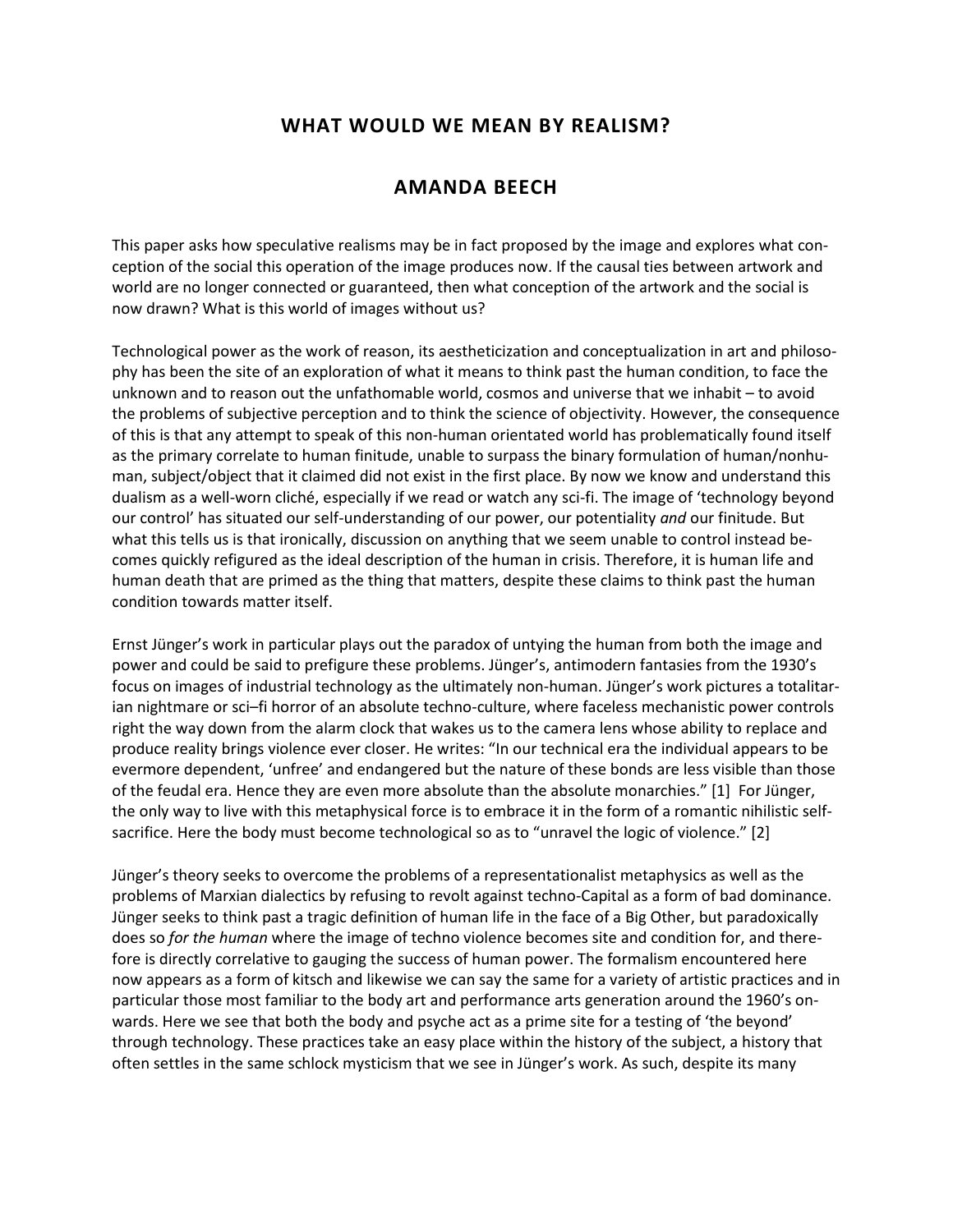## **WHAT WOULD WE MEAN BY REALISM?**

## **AMANDA BEECH**

This paper asks how speculative realisms may be in fact proposed by the image and explores what conception of the social this operation of the image produces now. If the causal ties between artwork and world are no longer connected or guaranteed, then what conception of the artwork and the social is now drawn? What is this world of images without us?

Technological power as the work of reason, its aestheticization and conceptualization in art and philosophy has been the site of an exploration of what it means to think past the human condition, to face the unknown and to reason out the unfathomable world, cosmos and universe that we inhabit – to avoid the problems of subjective perception and to think the science of objectivity. However, the consequence of this is that any attempt to speak of this non-human orientated world has problematically found itself as the primary correlate to human finitude, unable to surpass the binary formulation of human/nonhuman, subject/object that it claimed did not exist in the first place. By now we know and understand this dualism as a well-worn cliché, especially if we read or watch any sci-fi. The image of 'technology beyond our control' has situated our self-understanding of our power, our potentiality *and* our finitude. But what this tells us is that ironically, discussion on anything that we seem unable to control instead becomes quickly refigured as the ideal description of the human in crisis. Therefore, it is human life and human death that are primed as the thing that matters, despite these claims to think past the human condition towards matter itself.

Ernst Jünger's work in particular plays out the paradox of untying the human from both the image and power and could be said to prefigure these problems. Jünger's, antimodern fantasies from the 1930's focus on images of industrial technology as the ultimately non-human. Jünger's work pictures a totalitarian nightmare or sci–fi horror of an absolute techno-culture, where faceless mechanistic power controls right the way down from the alarm clock that wakes us to the camera lens whose ability to replace and produce reality brings violence ever closer. He writes: "In our technical era the individual appears to be evermore dependent, 'unfree' and endangered but the nature of these bonds are less visible than those of the feudal era. Hence they are even more absolute than the absolute monarchies." [1] For Jünger, the only way to live with this metaphysical force is to embrace it in the form of a romantic nihilistic selfsacrifice. Here the body must become technological so as to "unravel the logic of violence." [2]

Jünger's theory seeks to overcome the problems of a representationalist metaphysics as well as the problems of Marxian dialectics by refusing to revolt against techno-Capital as a form of bad dominance. Jünger seeks to think past a tragic definition of human life in the face of a Big Other, but paradoxically does so *for the human* where the image of techno violence becomes site and condition for, and therefore is directly correlative to gauging the success of human power. The formalism encountered here now appears as a form of kitsch and likewise we can say the same for a variety of artistic practices and in particular those most familiar to the body art and performance arts generation around the 1960's onwards. Here we see that both the body and psyche act as a prime site for a testing of 'the beyond' through technology. These practices take an easy place within the history of the subject, a history that often settles in the same schlock mysticism that we see in Jünger's work. As such, despite its many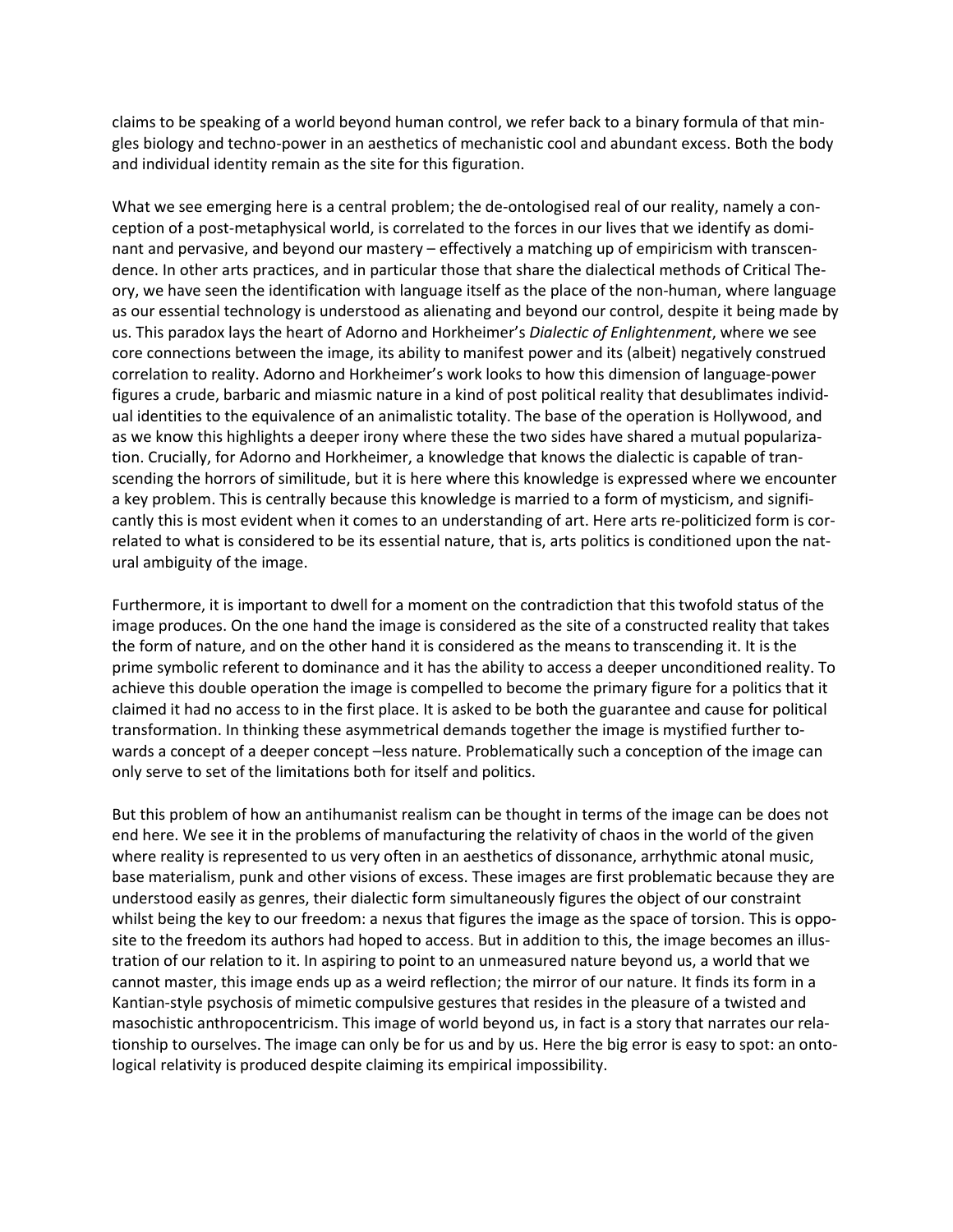claims to be speaking of a world beyond human control, we refer back to a binary formula of that mingles biology and techno-power in an aesthetics of mechanistic cool and abundant excess. Both the body and individual identity remain as the site for this figuration.

What we see emerging here is a central problem; the de-ontologised real of our reality, namely a conception of a post-metaphysical world, is correlated to the forces in our lives that we identify as dominant and pervasive, and beyond our mastery – effectively a matching up of empiricism with transcendence. In other arts practices, and in particular those that share the dialectical methods of Critical Theory, we have seen the identification with language itself as the place of the non-human, where language as our essential technology is understood as alienating and beyond our control, despite it being made by us. This paradox lays the heart of Adorno and Horkheimer's *Dialectic of Enlightenment*, where we see core connections between the image, its ability to manifest power and its (albeit) negatively construed correlation to reality. Adorno and Horkheimer's work looks to how this dimension of language-power figures a crude, barbaric and miasmic nature in a kind of post political reality that desublimates individual identities to the equivalence of an animalistic totality. The base of the operation is Hollywood, and as we know this highlights a deeper irony where these the two sides have shared a mutual popularization. Crucially, for Adorno and Horkheimer, a knowledge that knows the dialectic is capable of transcending the horrors of similitude, but it is here where this knowledge is expressed where we encounter a key problem. This is centrally because this knowledge is married to a form of mysticism, and significantly this is most evident when it comes to an understanding of art. Here arts re-politicized form is correlated to what is considered to be its essential nature, that is, arts politics is conditioned upon the natural ambiguity of the image.

Furthermore, it is important to dwell for a moment on the contradiction that this twofold status of the image produces. On the one hand the image is considered as the site of a constructed reality that takes the form of nature, and on the other hand it is considered as the means to transcending it. It is the prime symbolic referent to dominance and it has the ability to access a deeper unconditioned reality. To achieve this double operation the image is compelled to become the primary figure for a politics that it claimed it had no access to in the first place. It is asked to be both the guarantee and cause for political transformation. In thinking these asymmetrical demands together the image is mystified further towards a concept of a deeper concept – less nature. Problematically such a conception of the image can only serve to set of the limitations both for itself and politics.

But this problem of how an antihumanist realism can be thought in terms of the image can be does not end here. We see it in the problems of manufacturing the relativity of chaos in the world of the given where reality is represented to us very often in an aesthetics of dissonance, arrhythmic atonal music, base materialism, punk and other visions of excess. These images are first problematic because they are understood easily as genres, their dialectic form simultaneously figures the object of our constraint whilst being the key to our freedom: a nexus that figures the image as the space of torsion. This is opposite to the freedom its authors had hoped to access. But in addition to this, the image becomes an illustration of our relation to it. In aspiring to point to an unmeasured nature beyond us, a world that we cannot master, this image ends up as a weird reflection; the mirror of our nature. It finds its form in a Kantian-style psychosis of mimetic compulsive gestures that resides in the pleasure of a twisted and masochistic anthropocentricism. This image of world beyond us, in fact is a story that narrates our relationship to ourselves. The image can only be for us and by us. Here the big error is easy to spot: an ontological relativity is produced despite claiming its empirical impossibility.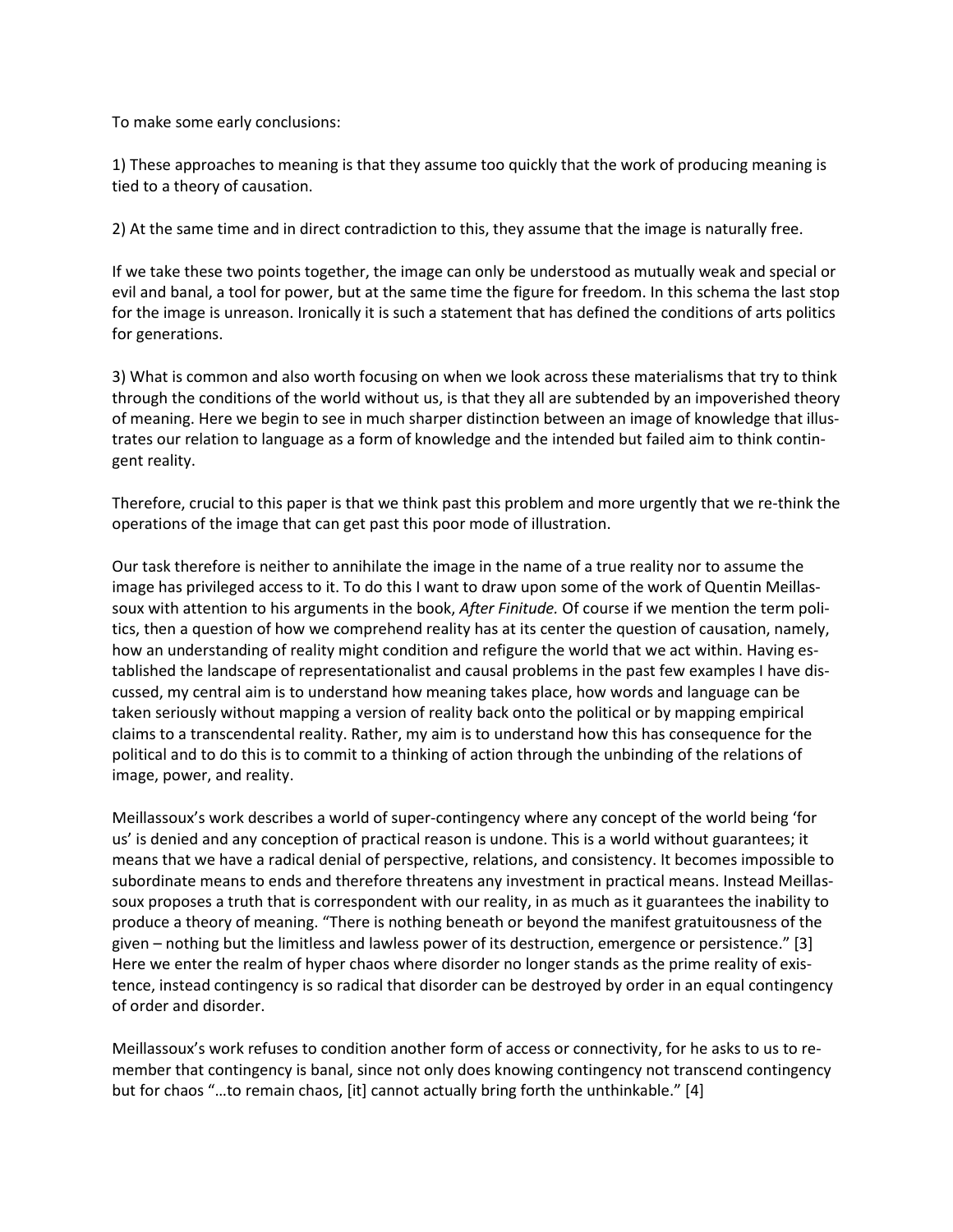To make some early conclusions:

1) These approaches to meaning is that they assume too quickly that the work of producing meaning is tied to a theory of causation.

2) At the same time and in direct contradiction to this, they assume that the image is naturally free.

If we take these two points together, the image can only be understood as mutually weak and special or evil and banal, a tool for power, but at the same time the figure for freedom. In this schema the last stop for the image is unreason. Ironically it is such a statement that has defined the conditions of arts politics for generations.

3) What is common and also worth focusing on when we look across these materialisms that try to think through the conditions of the world without us, is that they all are subtended by an impoverished theory of meaning. Here we begin to see in much sharper distinction between an image of knowledge that illustrates our relation to language as a form of knowledge and the intended but failed aim to think contingent reality.

Therefore, crucial to this paper is that we think past this problem and more urgently that we re-think the operations of the image that can get past this poor mode of illustration.

Our task therefore is neither to annihilate the image in the name of a true reality nor to assume the image has privileged access to it. To do this I want to draw upon some of the work of Quentin Meillassoux with attention to his arguments in the book, *After Finitude.* Of course if we mention the term politics, then a question of how we comprehend reality has at its center the question of causation, namely, how an understanding of reality might condition and refigure the world that we act within. Having established the landscape of representationalist and causal problems in the past few examples I have discussed, my central aim is to understand how meaning takes place, how words and language can be taken seriously without mapping a version of reality back onto the political or by mapping empirical claims to a transcendental reality. Rather, my aim is to understand how this has consequence for the political and to do this is to commit to a thinking of action through the unbinding of the relations of image, power, and reality.

Meillassoux's work describes a world of super-contingency where any concept of the world being 'for us' is denied and any conception of practical reason is undone. This is a world without guarantees; it means that we have a radical denial of perspective, relations, and consistency. It becomes impossible to subordinate means to ends and therefore threatens any investment in practical means. Instead Meillassoux proposes a truth that is correspondent with our reality, in as much as it guarantees the inability to produce a theory of meaning. "There is nothing beneath or beyond the manifest gratuitousness of the given – nothing but the limitless and lawless power of its destruction, emergence or persistence." [3] Here we enter the realm of hyper chaos where disorder no longer stands as the prime reality of existence, instead contingency is so radical that disorder can be destroyed by order in an equal contingency of order and disorder.

Meillassoux's work refuses to condition another form of access or connectivity, for he asks to us to remember that contingency is banal, since not only does knowing contingency not transcend contingency but for chaos "…to remain chaos, [it] cannot actually bring forth the unthinkable." [4]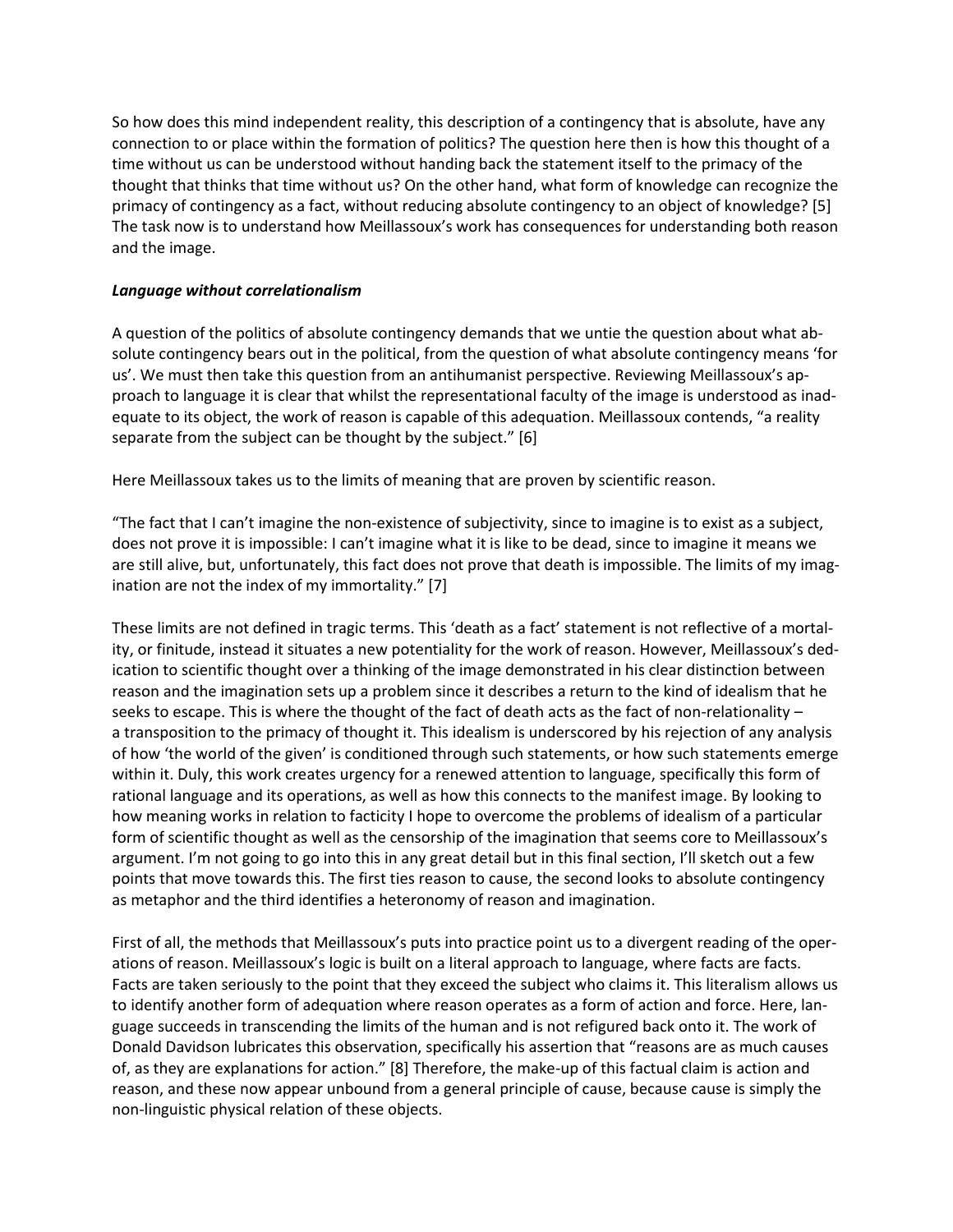So how does this mind independent reality, this description of a contingency that is absolute, have any connection to or place within the formation of politics? The question here then is how this thought of a time without us can be understood without handing back the statement itself to the primacy of the thought that thinks that time without us? On the other hand, what form of knowledge can recognize the primacy of contingency as a fact, without reducing absolute contingency to an object of knowledge? [5] The task now is to understand how Meillassoux's work has consequences for understanding both reason and the image.

## *Language without correlationalism*

A question of the politics of absolute contingency demands that we untie the question about what absolute contingency bears out in the political, from the question of what absolute contingency means 'for us'. We must then take this question from an antihumanist perspective. Reviewing Meillassoux's approach to language it is clear that whilst the representational faculty of the image is understood as inadequate to its object, the work of reason is capable of this adequation. Meillassoux contends, "a reality separate from the subject can be thought by the subject." [6]

Here Meillassoux takes us to the limits of meaning that are proven by scientific reason.

"The fact that I can't imagine the non-existence of subjectivity, since to imagine is to exist as a subject, does not prove it is impossible: I can't imagine what it is like to be dead, since to imagine it means we are still alive, but, unfortunately, this fact does not prove that death is impossible. The limits of my imagination are not the index of my immortality." [7]

These limits are not defined in tragic terms. This 'death as a fact' statement is not reflective of a mortality, or finitude, instead it situates a new potentiality for the work of reason. However, Meillassoux's dedication to scientific thought over a thinking of the image demonstrated in his clear distinction between reason and the imagination sets up a problem since it describes a return to the kind of idealism that he seeks to escape. This is where the thought of the fact of death acts as the fact of non-relationality – a transposition to the primacy of thought it. This idealism is underscored by his rejection of any analysis of how 'the world of the given' is conditioned through such statements, or how such statements emerge within it. Duly, this work creates urgency for a renewed attention to language, specifically this form of rational language and its operations, as well as how this connects to the manifest image. By looking to how meaning works in relation to facticity I hope to overcome the problems of idealism of a particular form of scientific thought as well as the censorship of the imagination that seems core to Meillassoux's argument. I'm not going to go into this in any great detail but in this final section, I'll sketch out a few points that move towards this. The first ties reason to cause, the second looks to absolute contingency as metaphor and the third identifies a heteronomy of reason and imagination.

First of all, the methods that Meillassoux's puts into practice point us to a divergent reading of the operations of reason. Meillassoux's logic is built on a literal approach to language, where facts are facts. Facts are taken seriously to the point that they exceed the subject who claims it. This literalism allows us to identify another form of adequation where reason operates as a form of action and force. Here, language succeeds in transcending the limits of the human and is not refigured back onto it. The work of Donald Davidson lubricates this observation, specifically his assertion that "reasons are as much causes of, as they are explanations for action." [8] Therefore, the make-up of this factual claim is action and reason, and these now appear unbound from a general principle of cause, because cause is simply the non-linguistic physical relation of these objects.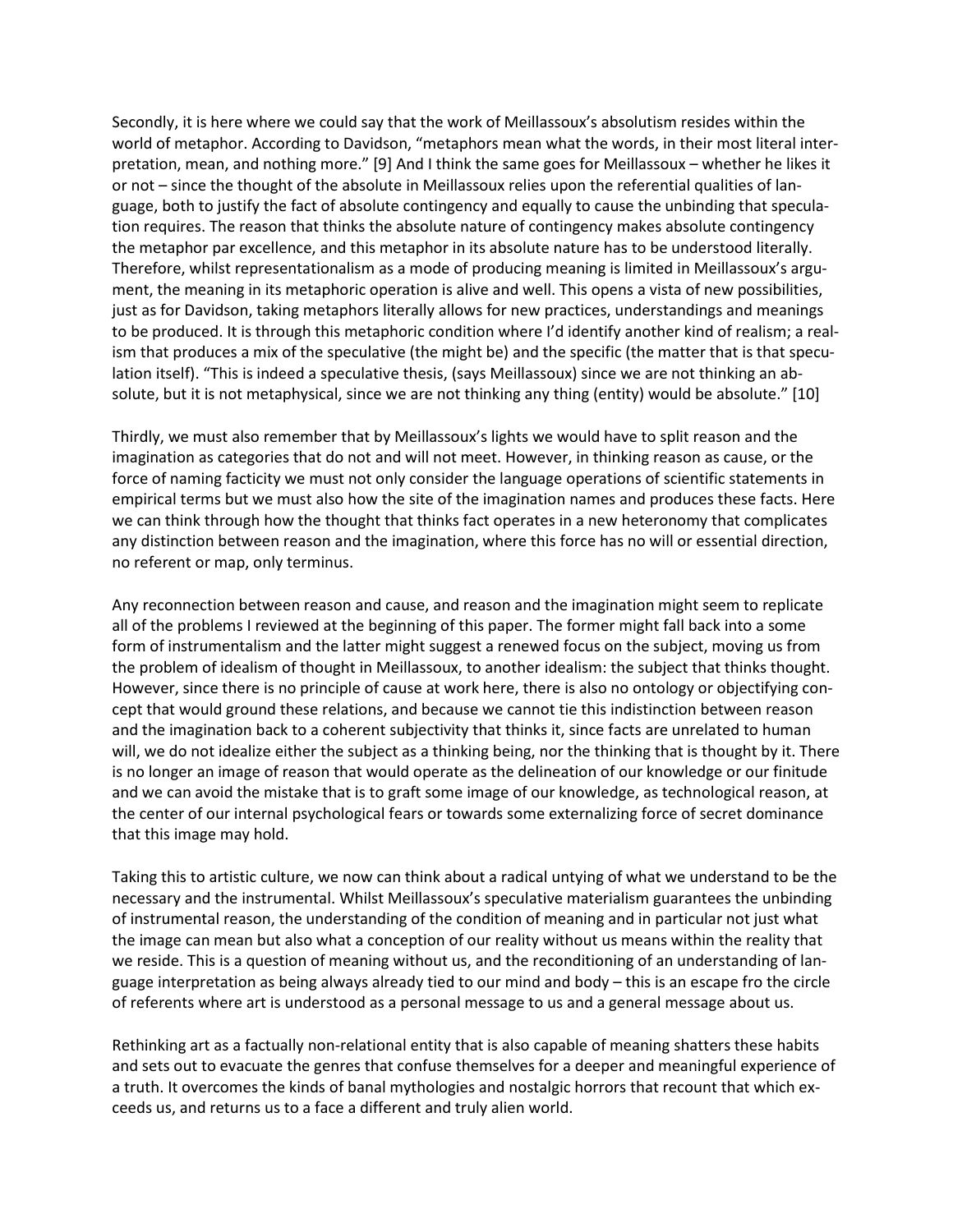Secondly, it is here where we could say that the work of Meillassoux's absolutism resides within the world of metaphor. According to Davidson, "metaphors mean what the words, in their most literal interpretation, mean, and nothing more." [9] And I think the same goes for Meillassoux – whether he likes it or not – since the thought of the absolute in Meillassoux relies upon the referential qualities of language, both to justify the fact of absolute contingency and equally to cause the unbinding that speculation requires. The reason that thinks the absolute nature of contingency makes absolute contingency the metaphor par excellence, and this metaphor in its absolute nature has to be understood literally. Therefore, whilst representationalism as a mode of producing meaning is limited in Meillassoux's argument, the meaning in its metaphoric operation is alive and well. This opens a vista of new possibilities, just as for Davidson, taking metaphors literally allows for new practices, understandings and meanings to be produced. It is through this metaphoric condition where I'd identify another kind of realism; a realism that produces a mix of the speculative (the might be) and the specific (the matter that is that speculation itself). "This is indeed a speculative thesis, (says Meillassoux) since we are not thinking an absolute, but it is not metaphysical, since we are not thinking any thing (entity) would be absolute." [10]

Thirdly, we must also remember that by Meillassoux's lights we would have to split reason and the imagination as categories that do not and will not meet. However, in thinking reason as cause, or the force of naming facticity we must not only consider the language operations of scientific statements in empirical terms but we must also how the site of the imagination names and produces these facts. Here we can think through how the thought that thinks fact operates in a new heteronomy that complicates any distinction between reason and the imagination, where this force has no will or essential direction, no referent or map, only terminus.

Any reconnection between reason and cause, and reason and the imagination might seem to replicate all of the problems I reviewed at the beginning of this paper. The former might fall back into a some form of instrumentalism and the latter might suggest a renewed focus on the subject, moving us from the problem of idealism of thought in Meillassoux, to another idealism: the subject that thinks thought. However, since there is no principle of cause at work here, there is also no ontology or objectifying concept that would ground these relations, and because we cannot tie this indistinction between reason and the imagination back to a coherent subjectivity that thinks it, since facts are unrelated to human will, we do not idealize either the subject as a thinking being, nor the thinking that is thought by it. There is no longer an image of reason that would operate as the delineation of our knowledge or our finitude and we can avoid the mistake that is to graft some image of our knowledge, as technological reason, at the center of our internal psychological fears or towards some externalizing force of secret dominance that this image may hold.

Taking this to artistic culture, we now can think about a radical untying of what we understand to be the necessary and the instrumental. Whilst Meillassoux's speculative materialism guarantees the unbinding of instrumental reason, the understanding of the condition of meaning and in particular not just what the image can mean but also what a conception of our reality without us means within the reality that we reside. This is a question of meaning without us, and the reconditioning of an understanding of language interpretation as being always already tied to our mind and body – this is an escape fro the circle of referents where art is understood as a personal message to us and a general message about us.

Rethinking art as a factually non-relational entity that is also capable of meaning shatters these habits and sets out to evacuate the genres that confuse themselves for a deeper and meaningful experience of a truth. It overcomes the kinds of banal mythologies and nostalgic horrors that recount that which exceeds us, and returns us to a face a different and truly alien world.